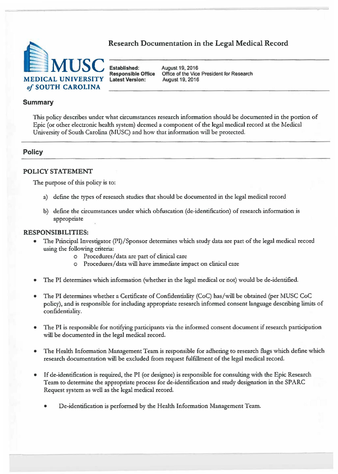# Research Documentation in the Legal Medical Record



**Responsible Office** Office of the Vice President for Research

### **Summary**

This policy describes under what circumstances research information should be documented in the portion of Epic ( or other electronic health system) deemed a component of the legal medical record at the Medical University of South Carolina (MUSC) and how that information will be protected.

### **Policy**

#### **POLICY STATEMENT**

The purpose of this policy is to:

- a) define the types of research studies that should be documented in the legal medical record
- b) define the circumstances under which obfuscation (de-identification) of research information is appropriate

#### **RESPONSIBILITIES:**

- The Principal Investigator (PI)/Sponsor determines which study data are part of the legal medical record using the following criteria:
	- o Procedures/ data are part of clinical care
	- o Procedures/ data will have immediate impact on clinical care
- The PI determines which information (whether in the legal medical or not) would be de-identified.
- The PI determines whether a Certificate of Confidentiality (CoC) has/will be obtained (per MUSC CoC policy), and is responsible for including appropriate research informed consent language describing limits of confidentiality.
- The PI is responsible for notifying participants via the informed consent document if research participation will be documented in the legal medical record.
- The Health Information Management Team is responsible for adhering to research flags which define which research documentation will be excluded from request fulfillment of the legal medical record.
- If de-identification is required, the PI (or designee) is responsible for consulting with the Epic Research Team to determine the appropriate process for de-identification and study designation in the SPARC Request system as well as the legal medical record.
	- De-identification is performed by the Health Information Management Team.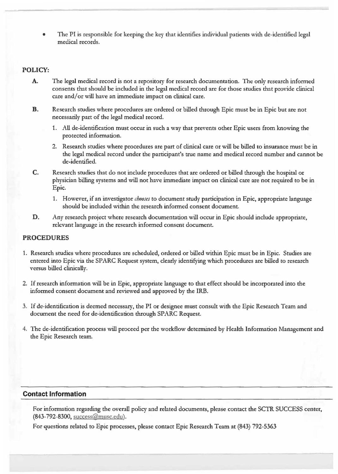• The **Pl** is responsible for keeping the key that identifies individual patients with de·identified legal medical records.

## **POLICY:**

- **A.** The legal medical record is not a repository for research documentation. The only research informed consents that should be included in the legal medical record are for those studies that provide clinical care and/or will have an immediate impact on clinical care.
- **B.** Research studies where procedures arc ordered or billed through Epic must be in Epic but are not necessarily part of the legal medical record.
	- 1. All de-identification must occur in such a way that prevents other Epic users from knowing the protected information.
	- 2. Research studies where procedures are part of clinical care or will be billed to insurance must be in the legal medical record under the participant's true name and medical record number and cannot be de-identified.
- **C.** Research studies that do not include procedures that are ordered or billed through the hospital or physician billing systems and will not have immediate impact on clinical care are not required to be in Epic.
	- 1. However, if an investigator *chooses* to document study participation in Epic, appropriate language should be included within the research informed consent document.
- **D.** Any research project where research documentation will occur in Epic should include appropriate, relevant language in the research informed consent document.

### **PROCEDURES**

- 1. Research studies where procedures are scheduled, ordered or billed within Epic must be in Epic. Studies are entered into Epic via the SPARC Request system, clearly identifying which procedures are billed to research versus billed clinically.
- 2. If research information will be in Epic, appropriate language to that effect should be incorporated into the informed consent document and reviewed and approved by the IRB.
- J. If de·identification is deemed necessary, the PI or designee must consult \vith the Epic Research Team and document the need for de-identification through SPARC Request.
- 4. The de-identification process will proceed per the workflow determined by Health Information Management and the Epic Research team.

### **Contact Information**

For information regarding the overall policy and related documents, please contact the SCTR SUCCESS center, (843-792-8300, succcss@musc.edu) .

For questions related to Epic processes, please contact Epic Research Team at (843) 792-5363